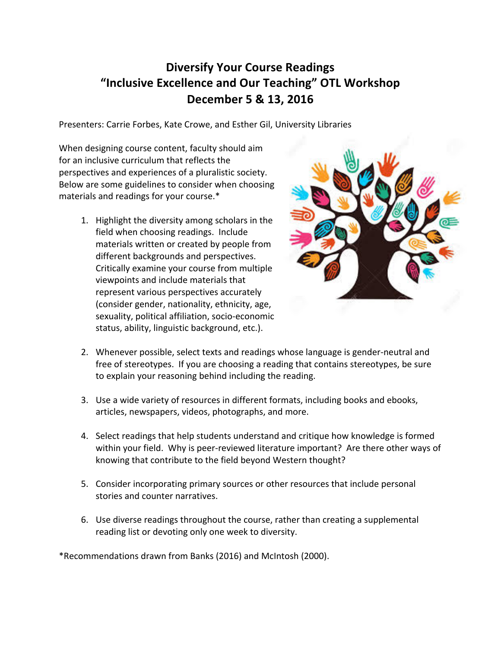## **Diversify Your Course Readings "Inclusive Excellence and Our Teaching" OTL Workshop December 5 & 13, 2016**

Presenters: Carrie Forbes, Kate Crowe, and Esther Gil, University Libraries

When designing course content, faculty should aim for an inclusive curriculum that reflects the perspectives and experiences of a pluralistic society. Below are some guidelines to consider when choosing materials and readings for your course.\*

> 1. Highlight the diversity among scholars in the field when choosing readings. Include materials written or created by people from different backgrounds and perspectives. Critically examine your course from multiple viewpoints and include materials that represent various perspectives accurately (consider gender, nationality, ethnicity, age, sexuality, political affiliation, socio-economic status, ability, linguistic background, etc.).



- 2. Whenever possible, select texts and readings whose language is gender-neutral and free of stereotypes. If you are choosing a reading that contains stereotypes, be sure to explain your reasoning behind including the reading.
- 3. Use a wide variety of resources in different formats, including books and ebooks, articles, newspapers, videos, photographs, and more.
- 4. Select readings that help students understand and critique how knowledge is formed within your field. Why is peer-reviewed literature important? Are there other ways of knowing that contribute to the field beyond Western thought?
- 5. Consider incorporating primary sources or other resources that include personal stories and counter narratives.
- 6. Use diverse readings throughout the course, rather than creating a supplemental reading list or devoting only one week to diversity.

\*Recommendations drawn from Banks (2016) and McIntosh (2000).